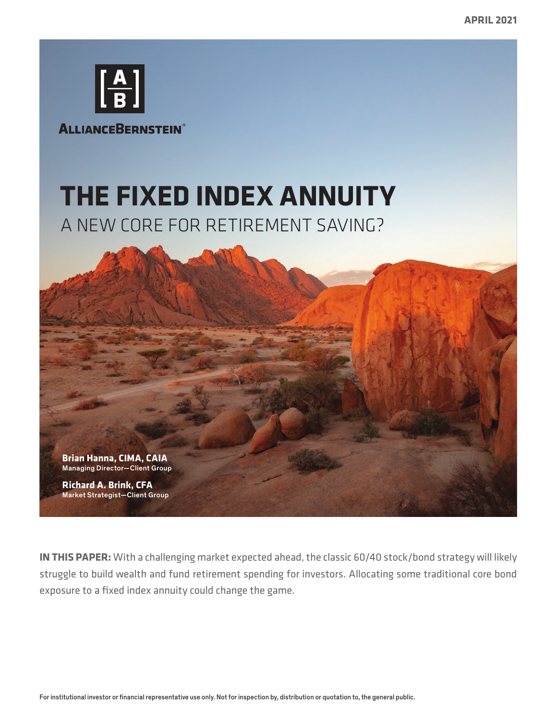**APRIL 2021**



## **ALLIANCEBERNSTEIN®**

## **THE FIXED INDEX RETIREMENT IN A NEW CORE FOR RETIREMENT SAVING? THE FIXED INDEX ANNUITY**



**IN THIS PAPER:** With a challenging market expected ahead, the classic 60/40 stock/bond strategy will likely struggle to build wealth and fund retirement spending for investors. Allocating some traditional core bond exposure to a fixed index annuity could change the game.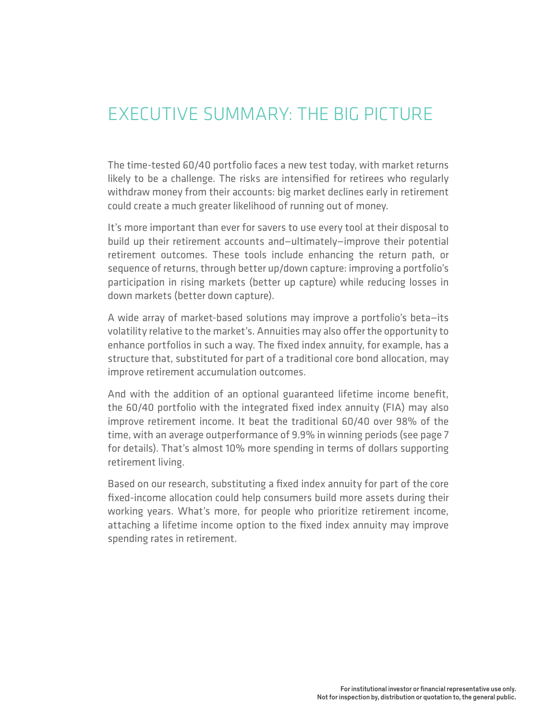## EXECUTIVE SUMMARY: THE BIG PICTURE

The time-tested 60/40 portfolio faces a new test today, with market returns likely to be a challenge. The risks are intensified for retirees who regularly withdraw money from their accounts: big market declines early in retirement could create a much greater likelihood of running out of money.

It's more important than ever for savers to use every tool at their disposal to build up their retirement accounts and—ultimately—improve their potential retirement outcomes. These tools include enhancing the return path, or sequence of returns, through better up/down capture: improving a portfolio's participation in rising markets (better up capture) while reducing losses in down markets (better down capture).

A wide array of market-based solutions may improve a portfolio's beta—its volatility relative to the market's. Annuities may also offer the opportunity to enhance portfolios in such a way. The fixed index annuity, for example, has a structure that, substituted for part of a traditional core bond allocation, may improve retirement accumulation outcomes.

And with the addition of an optional guaranteed lifetime income benefit, the 60/40 portfolio with the integrated fixed index annuity (FIA) may also improve retirement income. It beat the traditional 60/40 over 98% of the time, with an average outperformance of 9.9% in winning periods (see page 7 for details). That's almost 10% more spending in terms of dollars supporting retirement living.

Based on our research, substituting a fixed index annuity for part of the core fixed-income allocation could help consumers build more assets during their working years. What's more, for people who prioritize retirement income, attaching a lifetime income option to the fixed index annuity may improve spending rates in retirement.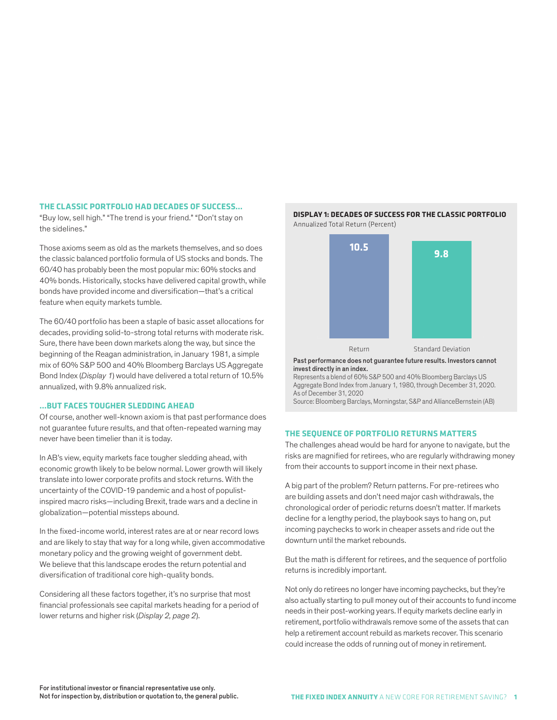#### **THE CLASSIC PORTFOLIO HAD DECADES OF SUCCESS…**

"Buy low, sell high." "The trend is your friend." "Don't stay on the sidelines."

Those axioms seem as old as the markets themselves, and so does the classic balanced portfolio formula of US stocks and bonds. The 60/40 has probably been the most popular mix: 60% stocks and 40% bonds. Historically, stocks have delivered capital growth, while bonds have provided income and diversification—that's a critical feature when equity markets tumble.

The 60/40 portfolio has been a staple of basic asset allocations for decades, providing solid-to-strong total returns with moderate risk. Sure, there have been down markets along the way, but since the beginning of the Reagan administration, in January 1981, a simple mix of 60% S&P 500 and 40% Bloomberg Barclays US Aggregate Bond Index (*Display 1*) would have delivered a total return of 10.5% annualized, with 9.8% annualized risk.

#### **…BUT FACES TOUGHER SLEDDING AHEAD**

Of course, another well-known axiom is that past performance does not guarantee future results, and that often-repeated warning may never have been timelier than it is today.

In AB's view, equity markets face tougher sledding ahead, with economic growth likely to be below normal. Lower growth will likely translate into lower corporate profits and stock returns. With the uncertainty of the COVID-19 pandemic and a host of populistinspired macro risks—including Brexit, trade wars and a decline in globalization—potential missteps abound.

In the fixed-income world, interest rates are at or near record lows and are likely to stay that way for a long while, given accommodative monetary policy and the growing weight of government debt. We believe that this landscape erodes the return potential and diversification of traditional core high-quality bonds.

Considering all these factors together, it's no surprise that most financial professionals see capital markets heading for a period of lower returns and higher risk (*Display 2, page 2*).

#### **DISPLAY 1: DECADES OF SUCCESS FOR THE CLASSIC PORTFOLIO** Annualized Total Return (Percent)



Past performance does not guarantee future results. Investors cannot invest directly in an index.

Represents a blend of 60% S&P 500 and 40% Bloomberg Barclays US Aggregate Bond Index from January 1, 1980, through December 31, 2020. As of December 31, 2020

Source: Bloomberg Barclays, Morningstar, S&P and AllianceBernstein (AB)

#### **THE SEQUENCE OF PORTFOLIO RETURNS MATTERS**

The challenges ahead would be hard for anyone to navigate, but the risks are magnified for retirees, who are regularly withdrawing money from their accounts to support income in their next phase.

A big part of the problem? Return patterns. For pre-retirees who are building assets and don't need major cash withdrawals, the chronological order of periodic returns doesn't matter. If markets decline for a lengthy period, the playbook says to hang on, put incoming paychecks to work in cheaper assets and ride out the downturn until the market rebounds.

But the math is different for retirees, and the sequence of portfolio returns is incredibly important.

Not only do retirees no longer have incoming paychecks, but they're also actually starting to pull money out of their accounts to fund income needs in their post-working years. If equity markets decline early in retirement, portfolio withdrawals remove some of the assets that can help a retirement account rebuild as markets recover. This scenario could increase the odds of running out of money in retirement.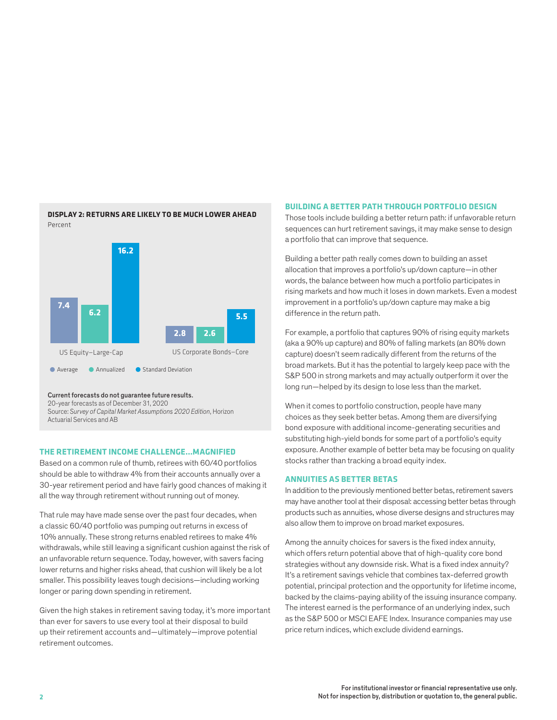

#### **DISPLAY 2: RETURNS ARE LIKELY TO BE MUCH LOWER AHEAD** Percent

#### Current forecasts do not guarantee future results.

20-year forecasts as of December 31, 2020 Source: *Survey of Capital Market Assumptions 2020 Edition*, Horizon Actuarial Services and AB

#### **THE RETIREMENT INCOME CHALLENGE…MAGNIFIED**

Based on a common rule of thumb, retirees with 60/40 portfolios should be able to withdraw 4% from their accounts annually over a 30-year retirement period and have fairly good chances of making it all the way through retirement without running out of money.

That rule may have made sense over the past four decades, when a classic 60/40 portfolio was pumping out returns in excess of 10% annually. These strong returns enabled retirees to make 4% withdrawals, while still leaving a significant cushion against the risk of an unfavorable return sequence. Today, however, with savers facing lower returns and higher risks ahead, that cushion will likely be a lot smaller. This possibility leaves tough decisions—including working longer or paring down spending in retirement.

Given the high stakes in retirement saving today, it's more important than ever for savers to use every tool at their disposal to build up their retirement accounts and—ultimately—improve potential retirement outcomes.

#### **BUILDING A BETTER PATH THROUGH PORTFOLIO DESIGN**

Those tools include building a better return path: if unfavorable return sequences can hurt retirement savings, it may make sense to design a portfolio that can improve that sequence.

Building a better path really comes down to building an asset allocation that improves a portfolio's up/down capture—in other words, the balance between how much a portfolio participates in rising markets and how much it loses in down markets. Even a modest improvement in a portfolio's up/down capture may make a big difference in the return path.

For example, a portfolio that captures 90% of rising equity markets (aka a 90% up capture) and 80% of falling markets (an 80% down capture) doesn't seem radically different from the returns of the broad markets. But it has the potential to largely keep pace with the S&P 500 in strong markets and may actually outperform it over the long run—helped by its design to lose less than the market.

When it comes to portfolio construction, people have many choices as they seek better betas. Among them are diversifying bond exposure with additional income-generating securities and substituting high-yield bonds for some part of a portfolio's equity exposure. Another example of better beta may be focusing on quality stocks rather than tracking a broad equity index.

#### **ANNUITIES AS BETTER BETAS**

In addition to the previously mentioned better betas, retirement savers may have another tool at their disposal: accessing better betas through products such as annuities, whose diverse designs and structures may also allow them to improve on broad market exposures.

Among the annuity choices for savers is the fixed index annuity, which offers return potential above that of high-quality core bond strategies without any downside risk. What is a fixed index annuity? It's a retirement savings vehicle that combines tax-deferred growth potential, principal protection and the opportunity for lifetime income, backed by the claims-paying ability of the issuing insurance company. The interest earned is the performance of an underlying index, such as the S&P 500 or MSCI EAFE Index. Insurance companies may use price return indices, which exclude dividend earnings.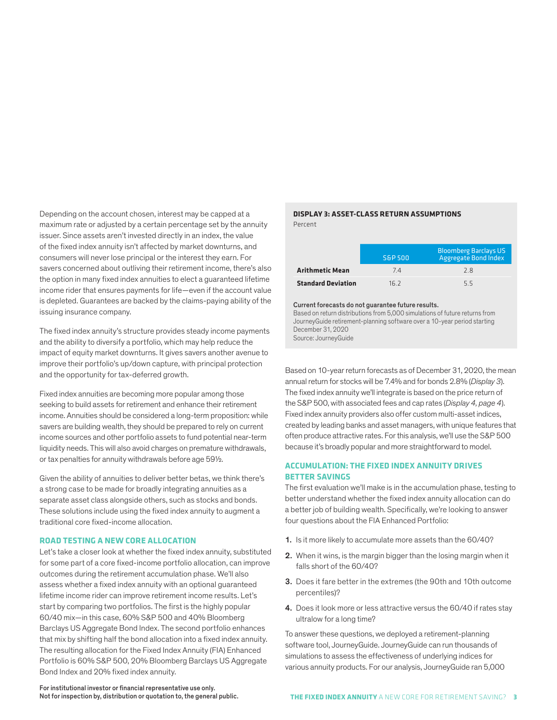Depending on the account chosen, interest may be capped at a maximum rate or adjusted by a certain percentage set by the annuity issuer. Since assets aren't invested directly in an index, the value of the fixed index annuity isn't affected by market downturns, and consumers will never lose principal or the interest they earn. For savers concerned about outliving their retirement income, there's also the option in many fixed index annuities to elect a guaranteed lifetime income rider that ensures payments for life—even if the account value is depleted. Guarantees are backed by the claims-paying ability of the issuing insurance company.

The fixed index annuity's structure provides steady income payments and the ability to diversify a portfolio, which may help reduce the impact of equity market downturns. It gives savers another avenue to improve their portfolio's up/down capture, with principal protection and the opportunity for tax-deferred growth.

Fixed index annuities are becoming more popular among those seeking to build assets for retirement and enhance their retirement income. Annuities should be considered a long-term proposition: while savers are building wealth, they should be prepared to rely on current income sources and other portfolio assets to fund potential near-term liquidity needs. This will also avoid charges on premature withdrawals, or tax penalties for annuity withdrawals before age 59½.

Given the ability of annuities to deliver better betas, we think there's a strong case to be made for broadly integrating annuities as a separate asset class alongside others, such as stocks and bonds. These solutions include using the fixed index annuity to augment a traditional core fixed-income allocation.

#### **ROAD TESTING A NEW CORE ALLOCATION**

Let's take a closer look at whether the fixed index annuity, substituted for some part of a core fixed-income portfolio allocation, can improve outcomes during the retirement accumulation phase. We'll also assess whether a fixed index annuity with an optional guaranteed lifetime income rider can improve retirement income results. Let's start by comparing two portfolios. The first is the highly popular 60/40 mix—in this case, 60% S&P 500 and 40% Bloomberg Barclays US Aggregate Bond Index. The second portfolio enhances that mix by shifting half the bond allocation into a fixed index annuity. The resulting allocation for the Fixed Index Annuity (FIA) Enhanced Portfolio is 60% S&P 500, 20% Bloomberg Barclays US Aggregate Bond Index and 20% fixed index annuity.

For institutional investor or financial representative use only.

#### **DISPLAY 3: ASSET-CLASS RETURN ASSUMPTIONS** Percent

|                           | <b>S&amp;P 500</b> | <b>Bloomberg Barclays US</b><br>Aggregate Bond Index |
|---------------------------|--------------------|------------------------------------------------------|
| <b>Arithmetic Mean</b>    | 74                 | 78                                                   |
| <b>Standard Deviation</b> | 16 <sub>2</sub>    | 55                                                   |

Current forecasts do not guarantee future results.

Based on return distributions from 5,000 simulations of future returns from JourneyGuide retirement-planning software over a 10-year period starting December 31, 2020 Source: JourneyGuide

Based on 10-year return forecasts as of December 31, 2020, the mean annual return for stocks will be 7.4% and for bonds 2.8% (*Display 3*). The fixed index annuity we'll integrate is based on the price return of the S&P 500, with associated fees and cap rates (*Display 4, page 4*). Fixed index annuity providers also offer custom multi-asset indices, created by leading banks and asset managers, with unique features that often produce attractive rates. For this analysis, we'll use the S&P 500 because it's broadly popular and more straightforward to model.

#### **ACCUMULATION: THE FIXED INDEX ANNUITY DRIVES BETTER SAVINGS**

The first evaluation we'll make is in the accumulation phase, testing to better understand whether the fixed index annuity allocation can do a better job of building wealth. Specifically, we're looking to answer four questions about the FIA Enhanced Portfolio:

- 1. Is it more likely to accumulate more assets than the 60/40?
- 2. When it wins, is the margin bigger than the losing margin when it falls short of the 60/40?
- 3. Does it fare better in the extremes (the 90th and 10th outcome percentiles)?
- 4. Does it look more or less attractive versus the 60/40 if rates stay ultralow for a long time?

To answer these questions, we deployed a retirement-planning software tool, JourneyGuide. JourneyGuide can run thousands of simulations to assess the effectiveness of underlying indices for various annuity products. For our analysis, JourneyGuide ran 5,000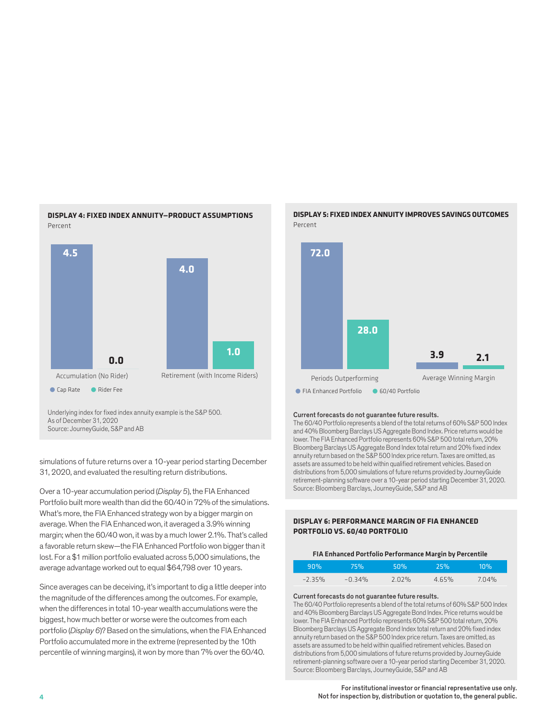

**DISPLAY 4: FIXED INDEX ANNUITY—PRODUCT ASSUMPTIONS**

As of December 31, 2020 Source: JourneyGuide, S&P and AB

Percent

simulations of future returns over a 10-year period starting December 31, 2020, and evaluated the resulting return distributions.

Over a 10-year accumulation period (*Display 5*), the FIA Enhanced Portfolio built more wealth than did the 60/40 in 72% of the simulations. What's more, the FIA Enhanced strategy won by a bigger margin on average. When the FIA Enhanced won, it averaged a 3.9% winning margin; when the 60/40 won, it was by a much lower 2.1%. That's called a favorable return skew—the FIA Enhanced Portfolio won bigger than it lost. For a \$1 million portfolio evaluated across 5,000 simulations, the average advantage worked out to equal \$64,798 over 10 years.

Since averages can be deceiving, it's important to dig a little deeper into the magnitude of the differences among the outcomes. For example, when the differences in total 10-year wealth accumulations were the biggest, how much better or worse were the outcomes from each portfolio (*Display 6*)? Based on the simulations, when the FIA Enhanced Portfolio accumulated more in the extreme (represented by the 10th percentile of winning margins), it won by more than 7% over the 60/40.

# ● FIA Enhanced Portfolio ● 60/40 Portfolio Periods Outperforming **Average Winning Margin 28.0 72.0 3.9 2.1**

#### **DISPLAY 5: FIXED INDEX ANNUITY IMPROVES SAVINGS OUTCOMES** Percent

#### Current forecasts do not guarantee future results.

The 60/40 Portfolio represents a blend of the total returns of 60% S&P 500 Index and 40% Bloomberg Barclays US Aggregate Bond Index. Price returns would be lower. The FIA Enhanced Portfolio represents 60% S&P 500 total return, 20% Bloomberg Barclays US Aggregate Bond Index total return and 20% fixed index annuity return based on the S&P 500 Index price return. Taxes are omitted, as assets are assumed to be held within qualified retirement vehicles. Based on distributions from 5,000 simulations of future returns provided by JourneyGuide retirement-planning software over a 10-year period starting December 31, 2020. Source: Bloomberg Barclays, JourneyGuide, S&P and AB

#### **DISPLAY 6: PERFORMANCE MARGIN OF FIA ENHANCED PORTFOLIO VS. 60/40 PORTFOLIO**

#### FIA Enhanced Portfolio Performance Margin by Percentile

| 90%      | 75%'      | 50%      | <b>75%</b> | 1በ%   |
|----------|-----------|----------|------------|-------|
| $-2.35%$ | $-0.34\%$ | $2.02\%$ | 4.65%      | 7.04% |

#### Current forecasts do not guarantee future results.

The 60/40 Portfolio represents a blend of the total returns of 60% S&P 500 Index and 40% Bloomberg Barclays US Aggregate Bond Index. Price returns would be lower. The FIA Enhanced Portfolio represents 60% S&P 500 total return, 20% Bloomberg Barclays US Aggregate Bond Index total return and 20% fixed index annuity return based on the S&P 500 Index price return. Taxes are omitted, as assets are assumed to be held within qualified retirement vehicles. Based on distributions from 5,000 simulations of future returns provided by JourneyGuide retirement-planning software over a 10-year period starting December 31, 2020. Source: Bloomberg Barclays, JourneyGuide, S&P and AB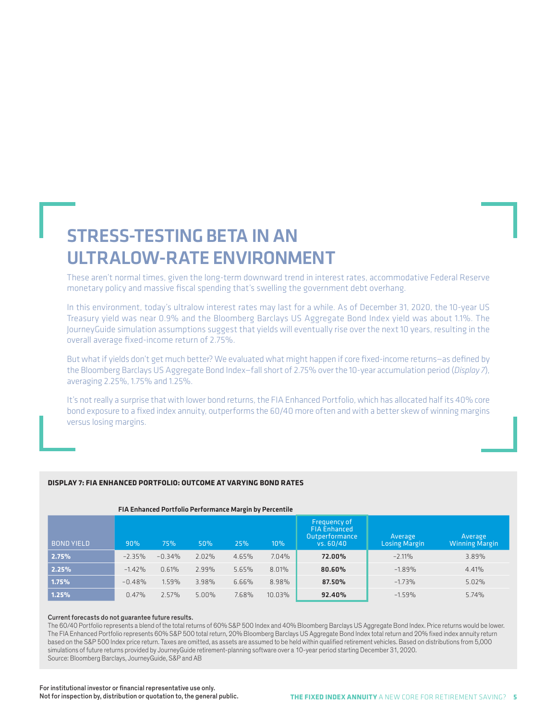## STRESS-TESTING BETA IN AN ULTRALOW-RATE ENVIRONMENT

These aren't normal times, given the long-term downward trend in interest rates, accommodative Federal Reserve monetary policy and massive fiscal spending that's swelling the government debt overhang.

In this environment, today's ultralow interest rates may last for a while. As of December 31, 2020, the 10-year US Treasury yield was near 0.9% and the Bloomberg Barclays US Aggregate Bond Index yield was about 1.1%. The JourneyGuide simulation assumptions suggest that yields will eventually rise over the next 10 years, resulting in the overall average fixed-income return of 2.75%.

But what if yields don't get much better? We evaluated what might happen if core fixed-income returns—as defined by the Bloomberg Barclays US Aggregate Bond Index—fall short of 2.75% over the 10-year accumulation period (*Display 7*), averaging 2.25%, 1.75% and 1.25%.

It's not really a surprise that with lower bond returns, the FIA Enhanced Portfolio, which has allocated half its 40% core bond exposure to a fixed index annuity, outperforms the 60/40 more often and with a better skew of winning margins versus losing margins.

#### **DISPLAY 7: FIA ENHANCED PORTFOLIO: OUTCOME AT VARYING BOND RATES**

| <b>BOND YIELD</b> | 90%      | 75%      | 50%      | 25%   | $10\%$ | Frequency of<br><b>FIA Enhanced</b><br>Outperformance,<br>vs. 60/40 | Average<br><b>Losing Margin</b> | Average<br><b>Winning Margin</b> |
|-------------------|----------|----------|----------|-------|--------|---------------------------------------------------------------------|---------------------------------|----------------------------------|
| 2.75%             | $-2.35%$ | $-0.34%$ | 2.02%    | 4.65% | 7.04%  | 72.00%                                                              | $-2.11%$                        | 3.89%                            |
| 2.25%             | $-1.42%$ | 0.61%    | 2.99%    | 5.65% | 8.01%  | 80.60%                                                              | $-1.89%$                        | 4.41%                            |
| 1.75%             | $-0.48%$ | 1.59%    | 3.98%    | 6.66% | 8.98%  | 87.50%                                                              | $-1.73%$                        | 5.02%                            |
| 1.25%             | 0.47%    | 2.57%    | $5.00\%$ | 7.68% | 10.03% | 92.40%                                                              | $-1.59%$                        | 5.74%                            |

#### FIA Enhanced Portfolio Performance Margin by Percentile

#### Current forecasts do not guarantee future results.

The 60/40 Portfolio represents a blend of the total returns of 60% S&P 500 Index and 40% Bloomberg Barclays US Aggregate Bond Index. Price returns would be lower. The FIA Enhanced Portfolio represents 60% S&P 500 total return, 20% Bloomberg Barclays US Aggregate Bond Index total return and 20% fixed index annuity return based on the S&P 500 Index price return. Taxes are omitted, as assets are assumed to be held within qualified retirement vehicles. Based on distributions from 5,000 simulations of future returns provided by JourneyGuide retirement-planning software over a 10-year period starting December 31, 2020. Source: Bloomberg Barclays, JourneyGuide, S&P and AB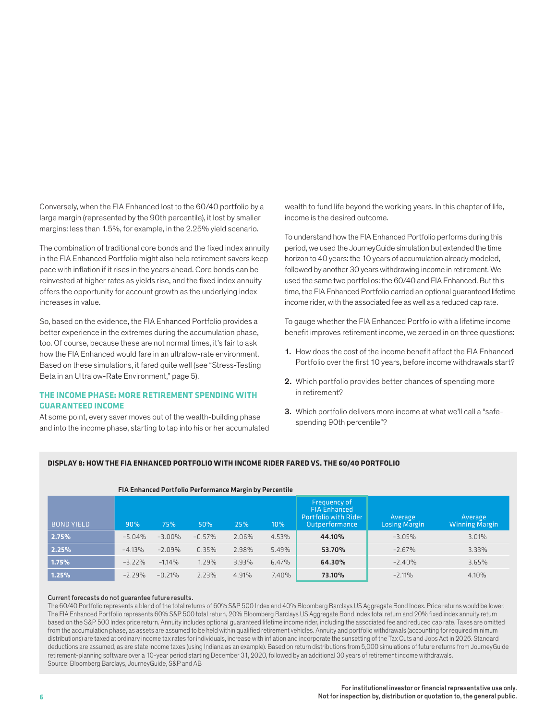Conversely, when the FIA Enhanced lost to the 60/40 portfolio by a large margin (represented by the 90th percentile), it lost by smaller margins: less than 1.5%, for example, in the 2.25% yield scenario.

The combination of traditional core bonds and the fixed index annuity in the FIA Enhanced Portfolio might also help retirement savers keep pace with inflation if it rises in the years ahead. Core bonds can be reinvested at higher rates as yields rise, and the fixed index annuity offers the opportunity for account growth as the underlying index increases in value.

So, based on the evidence, the FIA Enhanced Portfolio provides a better experience in the extremes during the accumulation phase, too. Of course, because these are not normal times, it's fair to ask how the FIA Enhanced would fare in an ultralow-rate environment. Based on these simulations, it fared quite well (see "Stress-Testing Beta in an Ultralow-Rate Environment," page 5).

#### **THE INCOME PHASE: MORE RETIREMENT SPENDING WITH GUARANTEED INCOME**

At some point, every saver moves out of the wealth-building phase and into the income phase, starting to tap into his or her accumulated wealth to fund life beyond the working years. In this chapter of life, income is the desired outcome.

To understand how the FIA Enhanced Portfolio performs during this period, we used the JourneyGuide simulation but extended the time horizon to 40 years: the 10 years of accumulation already modeled, followed by another 30 years withdrawing income in retirement. We used the same two portfolios: the 60/40 and FIA Enhanced. But this time, the FIA Enhanced Portfolio carried an optional guaranteed lifetime income rider, with the associated fee as well as a reduced cap rate.

To gauge whether the FIA Enhanced Portfolio with a lifetime income benefit improves retirement income, we zeroed in on three questions:

- 1. How does the cost of the income benefit affect the FIA Enhanced Portfolio over the first 10 years, before income withdrawals start?
- 2. Which portfolio provides better chances of spending more in retirement?
- 3. Which portfolio delivers more income at what we'll call a "safespending 90th percentile"?

| FIA Enhanced Portfolio Performance Margin by Percentile |          |            |          |       |       |                                                                                             |                                 |                                  |  |  |
|---------------------------------------------------------|----------|------------|----------|-------|-------|---------------------------------------------------------------------------------------------|---------------------------------|----------------------------------|--|--|
| <b>BOND YIELD</b>                                       | 90%      | <b>75%</b> | 50%      | 25%   | 10%   | Frequency of<br><b>FIA Enhanced</b><br><b>Portfolio with Rider</b><br><b>Outperformance</b> | Average<br><b>Losing Margin</b> | Average<br><b>Winning Margin</b> |  |  |
| 2.75%                                                   | $-5.04%$ | $-3.00\%$  | $-0.57%$ | 2.06% | 4.53% | 44.10%                                                                                      | $-3.05%$                        | 3.01%                            |  |  |
| 2.25%                                                   | $-4.13%$ | $-2.09%$   | 0.35%    | 2.98% | 5.49% | 53.70%                                                                                      | $-2.67%$                        | $3.33\%$                         |  |  |
| 1.75%                                                   | $-3.22%$ | $-1.14%$   | 1.29%    | 3.93% | 6.47% | 64.30%                                                                                      | $-2.40%$                        | 3.65%                            |  |  |
| 1.25%                                                   | $-2.29%$ | $-0.21%$   | 2.23%    | 4.91% | 7.40% | 73.10%                                                                                      | $-2.11%$                        | 4.10%                            |  |  |

#### **DISPLAY 8: HOW THE FIA ENHANCED PORTFOLIO WITH INCOME RIDER FARED VS. THE 60/40 PORTFOLIO**

#### Current forecasts do not guarantee future results.

The 60/40 Portfolio represents a blend of the total returns of 60% S&P 500 Index and 40% Bloomberg Barclays US Aggregate Bond Index. Price returns would be lower. The FIA Enhanced Portfolio represents 60% S&P 500 total return, 20% Bloomberg Barclays US Aggregate Bond Index total return and 20% fixed index annuity return based on the S&P 500 Index price return. Annuity includes optional guaranteed lifetime income rider, including the associated fee and reduced cap rate. Taxes are omitted from the accumulation phase, as assets are assumed to be held within qualified retirement vehicles. Annuity and portfolio withdrawals (accounting for required minimum distributions) are taxed at ordinary income tax rates for individuals, increase with inflation and incorporate the sunsetting of the Tax Cuts and Jobs Act in 2026. Standard deductions are assumed, as are state income taxes (using Indiana as an example). Based on return distributions from 5,000 simulations of future returns from JourneyGuide retirement-planning software over a 10-year period starting December 31, 2020, followed by an additional 30 years of retirement income withdrawals. Source: Bloomberg Barclays, JourneyGuide, S&P and AB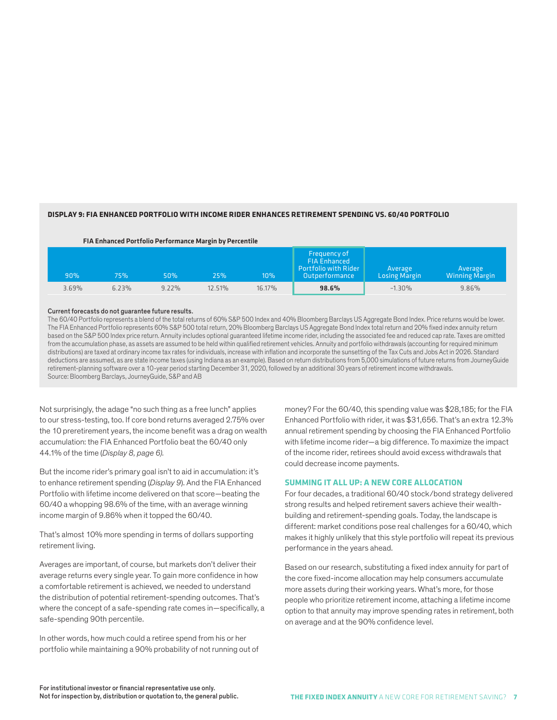#### **DISPLAY 9: FIA ENHANCED PORTFOLIO WITH INCOME RIDER ENHANCES RETIREMENT SPENDING VS. 60/40 PORTFOLIO**

#### FIA Enhanced Portfolio Performance Margin by Percentile

| 90%   | 75%   | 50%      | 25%    | $10\%$ | Frequency of<br><b>FIA Enhanced</b><br>Portfolio with Rider<br><b>Outperformance</b> | Average<br><b>Losing Margin</b> | Average<br><b>Winning Margin</b> |
|-------|-------|----------|--------|--------|--------------------------------------------------------------------------------------|---------------------------------|----------------------------------|
| 3.69% | 6.23% | $9.22\%$ | 12.51% | 16.17% | 98.6%                                                                                | $-1.30%$                        | 9.86%                            |

#### Current forecasts do not guarantee future results.

The 60/40 Portfolio represents a blend of the total returns of 60% S&P 500 Index and 40% Bloomberg Barclays US Aggregate Bond Index. Price returns would be lower. The FIA Enhanced Portfolio represents 60% S&P 500 total return, 20% Bloomberg Barclays US Aggregate Bond Index total return and 20% fixed index annuity return based on the S&P 500 Index price return. Annuity includes optional guaranteed lifetime income rider, including the associated fee and reduced cap rate. Taxes are omitted from the accumulation phase, as assets are assumed to be held within qualified retirement vehicles. Annuity and portfolio withdrawals (accounting for required minimum distributions) are taxed at ordinary income tax rates for individuals, increase with inflation and incorporate the sunsetting of the Tax Cuts and Jobs Act in 2026. Standard deductions are assumed, as are state income taxes (using Indiana as an example). Based on return distributions from 5,000 simulations of future returns from JourneyGuide retirement-planning software over a 10-year period starting December 31, 2020, followed by an additional 30 years of retirement income withdrawals. Source: Bloomberg Barclays, JourneyGuide, S&P and AB

Not surprisingly, the adage "no such thing as a free lunch" applies to our stress-testing, too. If core bond returns averaged 2.75% over the 10 preretirement years, the income benefit was a drag on wealth accumulation: the FIA Enhanced Portfolio beat the 60/40 only 44.1% of the time (*Display 8, page 6).*

But the income rider's primary goal isn't to aid in accumulation: it's to enhance retirement spending (*Display 9*). And the FIA Enhanced Portfolio with lifetime income delivered on that score—beating the 60/40 a whopping 98.6% of the time, with an average winning income margin of 9.86% when it topped the 60/40.

That's almost 10% more spending in terms of dollars supporting retirement living.

Averages are important, of course, but markets don't deliver their average returns every single year. To gain more confidence in how a comfortable retirement is achieved, we needed to understand the distribution of potential retirement-spending outcomes. That's where the concept of a safe-spending rate comes in—specifically, a safe-spending 90th percentile.

In other words, how much could a retiree spend from his or her portfolio while maintaining a 90% probability of not running out of money? For the 60/40, this spending value was \$28,185; for the FIA Enhanced Portfolio with rider, it was \$31,656. That's an extra 12.3% annual retirement spending by choosing the FIA Enhanced Portfolio with lifetime income rider—a big difference. To maximize the impact of the income rider, retirees should avoid excess withdrawals that could decrease income payments.

#### **SUMMING IT ALL UP: A NEW CORE ALLOCATION**

For four decades, a traditional 60/40 stock/bond strategy delivered strong results and helped retirement savers achieve their wealthbuilding and retirement-spending goals. Today, the landscape is different: market conditions pose real challenges for a 60/40, which makes it highly unlikely that this style portfolio will repeat its previous performance in the years ahead.

Based on our research, substituting a fixed index annuity for part of the core fixed-income allocation may help consumers accumulate more assets during their working years. What's more, for those people who prioritize retirement income, attaching a lifetime income option to that annuity may improve spending rates in retirement, both on average and at the 90% confidence level.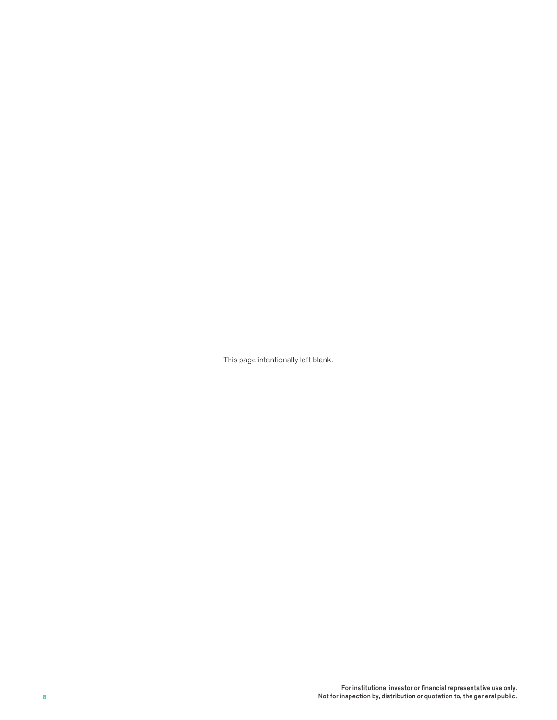This page intentionally left blank.